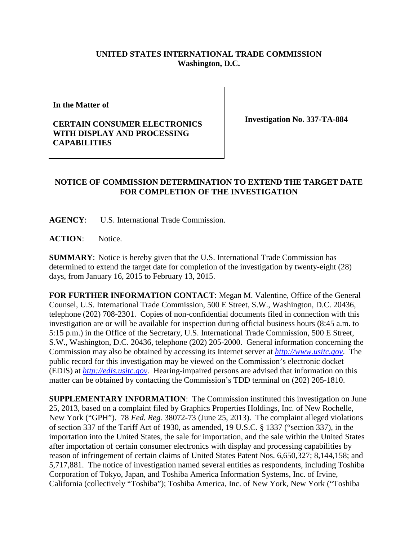## **UNITED STATES INTERNATIONAL TRADE COMMISSION Washington, D.C.**

**In the Matter of** 

## **CERTAIN CONSUMER ELECTRONICS WITH DISPLAY AND PROCESSING CAPABILITIES**

**Investigation No. 337-TA-884**

## **NOTICE OF COMMISSION DETERMINATION TO EXTEND THE TARGET DATE FOR COMPLETION OF THE INVESTIGATION**

**AGENCY**: U.S. International Trade Commission.

**ACTION**: Notice.

**SUMMARY**: Notice is hereby given that the U.S. International Trade Commission has determined to extend the target date for completion of the investigation by twenty-eight (28) days, from January 16, 2015 to February 13, 2015.

**FOR FURTHER INFORMATION CONTACT**: Megan M. Valentine, Office of the General Counsel, U.S. International Trade Commission, 500 E Street, S.W., Washington, D.C. 20436, telephone (202) 708-2301. Copies of non-confidential documents filed in connection with this investigation are or will be available for inspection during official business hours (8:45 a.m. to 5:15 p.m.) in the Office of the Secretary, U.S. International Trade Commission, 500 E Street, S.W., Washington, D.C. 20436, telephone (202) 205-2000. General information concerning the Commission may also be obtained by accessing its Internet server at *[http://www.usitc.gov](http://www.usitc.gov/)*. The public record for this investigation may be viewed on the Commission's electronic docket (EDIS) at *[http://edis.usitc.gov](http://edis.usitc.gov/)*. Hearing-impaired persons are advised that information on this matter can be obtained by contacting the Commission's TDD terminal on (202) 205-1810.

**SUPPLEMENTARY INFORMATION**: The Commission instituted this investigation on June 25, 2013, based on a complaint filed by Graphics Properties Holdings, Inc. of New Rochelle, New York ("GPH"). 78 *Fed. Reg.* 38072-73 (June 25, 2013). The complaint alleged violations of section 337 of the Tariff Act of 1930, as amended, 19 U.S.C. § 1337 ("section 337), in the importation into the United States, the sale for importation, and the sale within the United States after importation of certain consumer electronics with display and processing capabilities by reason of infringement of certain claims of United States Patent Nos. 6,650,327; 8,144,158; and 5,717,881. The notice of investigation named several entities as respondents, including Toshiba Corporation of Tokyo, Japan, and Toshiba America Information Systems, Inc. of Irvine, California (collectively "Toshiba"); Toshiba America, Inc. of New York, New York ("Toshiba